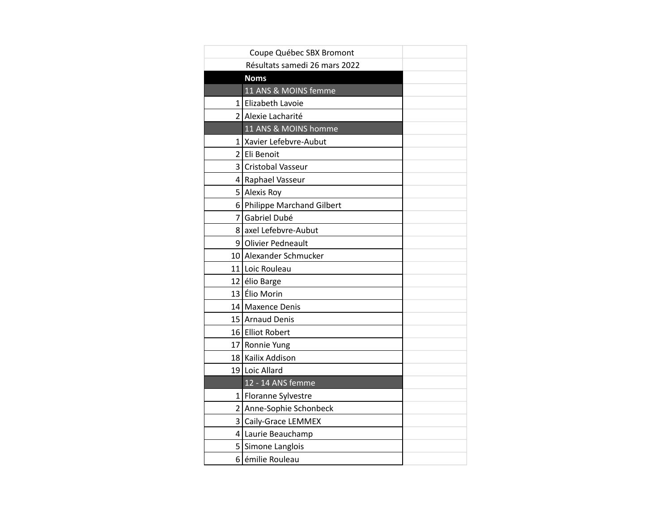|   | Coupe Québec SBX Bromont      |  |
|---|-------------------------------|--|
|   | Résultats samedi 26 mars 2022 |  |
|   | <b>Noms</b>                   |  |
|   | 11 ANS & MOINS femme          |  |
|   | 1 Elizabeth Lavoie            |  |
|   | 2 Alexie Lacharité            |  |
|   | 11 ANS & MOINS homme          |  |
|   | 1 Xavier Lefebvre-Aubut       |  |
|   | 2 Eli Benoit                  |  |
|   | 3 Cristobal Vasseur           |  |
|   | 4 Raphael Vasseur             |  |
|   | 5 Alexis Roy                  |  |
|   | 6 Philippe Marchand Gilbert   |  |
| 7 | Gabriel Dubé                  |  |
|   | 8 axel Lefebvre-Aubut         |  |
|   | 9 Olivier Pedneault           |  |
|   | 10 Alexander Schmucker        |  |
|   | 11 Loic Rouleau               |  |
|   | 12 élio Barge                 |  |
|   | 13 Élio Morin                 |  |
|   | 14 Maxence Denis              |  |
|   | 15 Arnaud Denis               |  |
|   | 16 Elliot Robert              |  |
|   | 17 Ronnie Yung                |  |
|   | 18 Kailix Addison             |  |
|   | 19 Loic Allard                |  |
|   | 12 - 14 ANS femme             |  |
|   | 1 Floranne Sylvestre          |  |
|   | 2 Anne-Sophie Schonbeck       |  |
|   | 3 Caily-Grace LEMMEX          |  |
|   | 4 Laurie Beauchamp            |  |
|   | 5 Simone Langlois             |  |
|   | 6 émilie Rouleau              |  |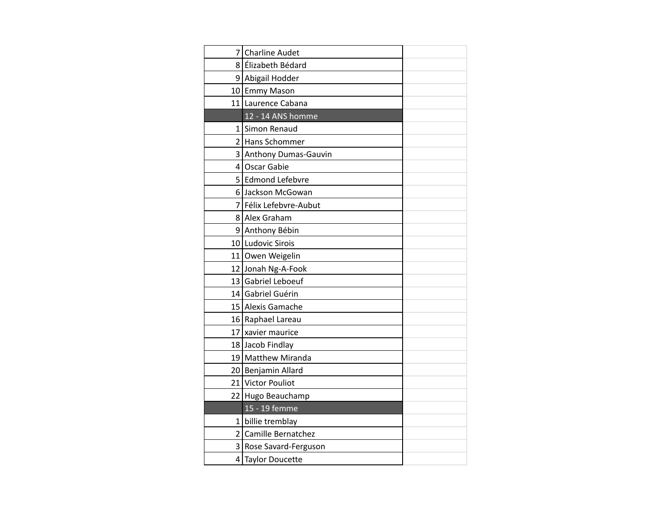| 7              | <b>Charline Audet</b>  |  |
|----------------|------------------------|--|
|                | 8 Élizabeth Bédard     |  |
|                | 9 Abigail Hodder       |  |
|                | 10 Emmy Mason          |  |
|                | 11 Laurence Cabana     |  |
|                | 12 - 14 ANS homme      |  |
| 1              | Simon Renaud           |  |
|                | 2 Hans Schommer        |  |
| $\overline{3}$ | Anthony Dumas-Gauvin   |  |
|                | 4 Oscar Gabie          |  |
|                | 5 Edmond Lefebvre      |  |
|                | 6 Jackson McGowan      |  |
|                | 7 Félix Lefebvre-Aubut |  |
|                | 8 Alex Graham          |  |
|                | 9 Anthony Bébin        |  |
|                | 10 Ludovic Sirois      |  |
|                | 11 Owen Weigelin       |  |
|                | 12 Jonah Ng-A-Fook     |  |
|                | 13 Gabriel Leboeuf     |  |
|                | 14 Gabriel Guérin      |  |
|                | 15 Alexis Gamache      |  |
|                | 16 Raphael Lareau      |  |
| 17             | xavier maurice         |  |
|                | 18 Jacob Findlay       |  |
|                | 19 Matthew Miranda     |  |
|                | 20 Benjamin Allard     |  |
|                | 21 Victor Pouliot      |  |
|                | 22 Hugo Beauchamp      |  |
|                | 15 - 19 femme          |  |
| $1\vert$       | billie tremblay        |  |
| $\overline{2}$ | Camille Bernatchez     |  |
| 3              | Rose Savard-Ferguson   |  |
|                | 4 Taylor Doucette      |  |